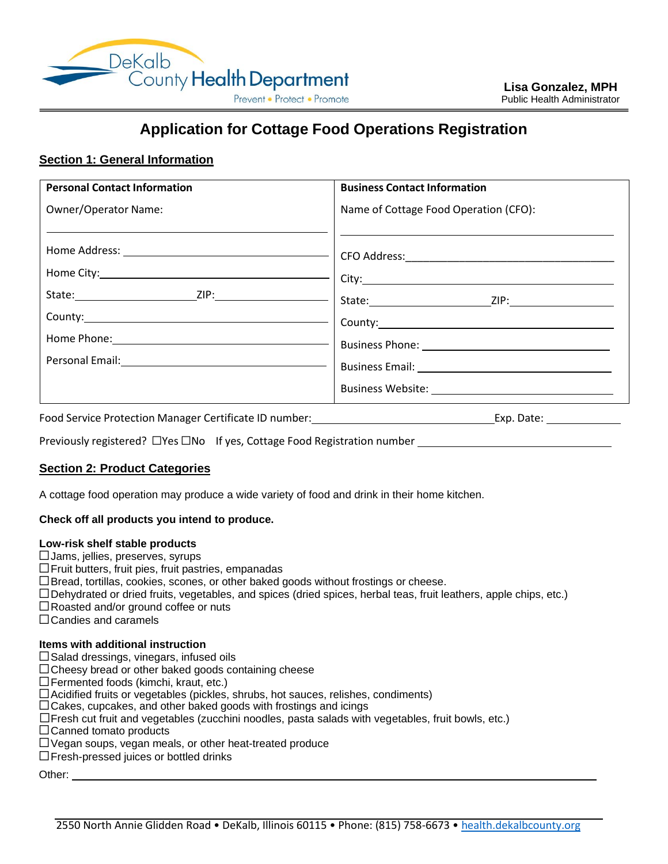

# **Application for Cottage Food Operations Registration**

# **Section 1: General Information**

| <b>Personal Contact Information</b>                                                                             | <b>Business Contact Information</b>   |
|-----------------------------------------------------------------------------------------------------------------|---------------------------------------|
| <b>Owner/Operator Name:</b>                                                                                     | Name of Cottage Food Operation (CFO): |
|                                                                                                                 | County: <u>county:</u>                |
| Home Phone: 1999 - 1999 - 1999 - 1999 - 1999 - 1999 - 1999 - 1999 - 1999 - 1999 - 1999 - 1999 - 1999 - 1999 - 1 |                                       |
|                                                                                                                 |                                       |

Food Service Protection Manager Certificate ID number: Exp. Date: Exp. Date: Exp. Date:

Previously registered? □Yes □No If yes, Cottage Food Registration number \_\_\_\_\_\_\_\_\_\_\_\_\_\_\_\_\_\_\_\_\_\_\_\_\_\_

# **Section 2: Product Categories**

A cottage food operation may produce a wide variety of food and drink in their home kitchen.

### **Check off all products you intend to produce.**

### **Low-risk shelf stable products**

- □Jams, jellies, preserves, syrups
- □Fruit butters, fruit pies, fruit pastries, empanadas
- $\square$ Bread, tortillas, cookies, scones, or other baked goods without frostings or cheese.
- □Dehydrated or dried fruits, vegetables, and spices (dried spices, herbal teas, fruit leathers, apple chips, etc.)
- □Roasted and/or ground coffee or nuts
- □Candies and caramels

### **Items with additional instruction**

- $\square$  Salad dressings, vinegars, infused oils
- $\Box$ Cheesy bread or other baked goods containing cheese
- $\Box$  Fermented foods (kimchi, kraut, etc.)
- □Acidified fruits or vegetables (pickles, shrubs, hot sauces, relishes, condiments)
- $\Box$  Cakes, cupcakes, and other baked goods with frostings and icings
- $\square$  Fresh cut fruit and vegetables (zucchini noodles, pasta salads with vegetables, fruit bowls, etc.)
- $\Box$ Canned tomato products
- □Vegan soups, vegan meals, or other heat-treated produce
- □Fresh-pressed juices or bottled drinks

Other: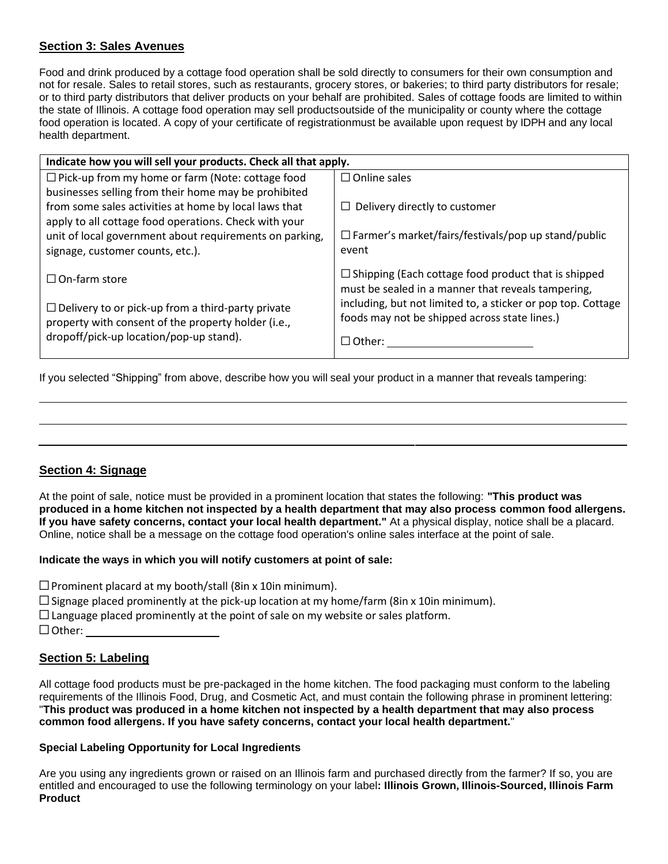# **Section 3: Sales Avenues**

Food and drink produced by a cottage food operation shall be sold directly to consumers for their own consumption and not for resale. Sales to retail stores, such as restaurants, grocery stores, or bakeries; to third party distributors for resale; or to third party distributors that deliver products on your behalf are prohibited. Sales of cottage foods are limited to within the state of Illinois. A cottage food operation may sell productsoutside of the municipality or county where the cottage food operation is located. A copy of your certificate of registrationmust be available upon request by IDPH and any local health department.

| Indicate how you will sell your products. Check all that apply. |                                                                                                                  |  |
|-----------------------------------------------------------------|------------------------------------------------------------------------------------------------------------------|--|
| $\Box$ Pick-up from my home or farm (Note: cottage food         | $\Box$ Online sales                                                                                              |  |
| businesses selling from their home may be prohibited            |                                                                                                                  |  |
| from some sales activities at home by local laws that           | $\Box$ Delivery directly to customer                                                                             |  |
| apply to all cottage food operations. Check with your           |                                                                                                                  |  |
| unit of local government about requirements on parking,         | $\Box$ Farmer's market/fairs/festivals/pop up stand/public                                                       |  |
| signage, customer counts, etc.).                                | event                                                                                                            |  |
| $\Box$ On-farm store                                            | $\Box$ Shipping (Each cottage food product that is shipped<br>must be sealed in a manner that reveals tampering, |  |
| $\Box$ Delivery to or pick-up from a third-party private        | including, but not limited to, a sticker or pop top. Cottage                                                     |  |
| property with consent of the property holder (i.e.,             | foods may not be shipped across state lines.)                                                                    |  |
| dropoff/pick-up location/pop-up stand).                         | $\Box$ Other: $\,$                                                                                               |  |
|                                                                 |                                                                                                                  |  |

If you selected "Shipping" from above, describe how you will seal your product in a manner that reveals tampering:

# **Section 4: Signage**

At the point of sale, notice must be provided in a prominent location that states the following: **"This product was** produced in a home kitchen not inspected by a health department that may also process common food allergens. **If you have safety concerns, contact your local health department."** At a physical display, notice shall be a placard. Online, notice shall be a message on the cottage food operation's online sales interface at the point of sale.

# **Indicate the ways in which you will notify customers at point of sale:**

 $\square$ Prominent placard at my booth/stall (8in x 10in minimum).

- $\square$  Signage placed prominently at the pick-up location at my home/farm (8in x 10in minimum).
- $\Box$  Language placed prominently at the point of sale on my website or sales platform.
- □Other:

# **Section 5: Labeling**

All cottage food products must be pre-packaged in the home kitchen. The food packaging must conform to the labeling requirements of the Illinois Food, Drug, and Cosmetic Act, and must contain the following phrase in prominent lettering: "**This product was produced in a home kitchen not inspected by a health department that may also process common food allergens. If you have safety concerns, contact your local health department.**"

# **Special Labeling Opportunity for Local Ingredients**

Are you using any ingredients grown or raised on an Illinois farm and purchased directly from the farmer? If so, you are entitled and encouraged to use the following terminology on your label**: Illinois Grown, Illinois-Sourced, Illinois Farm Product**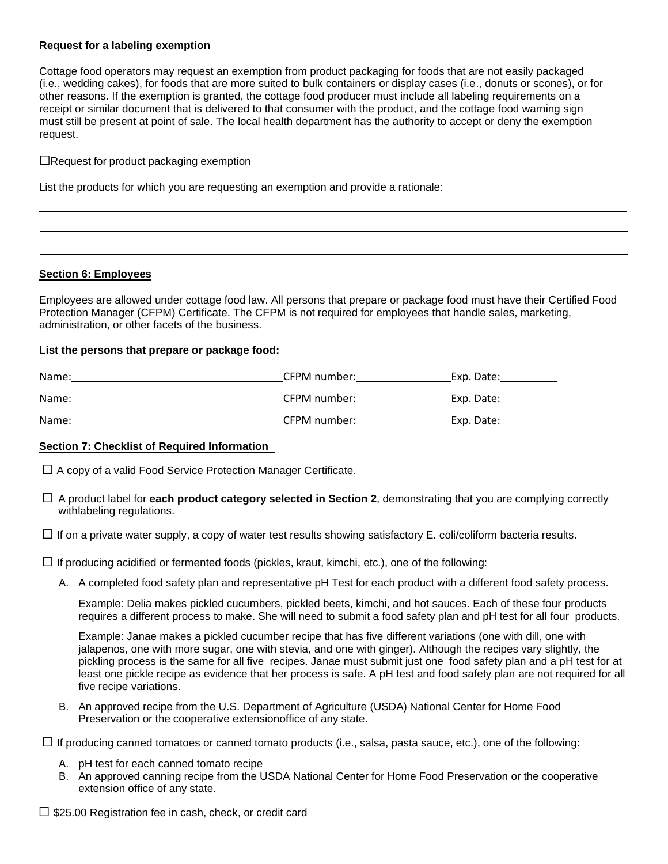### **Request for a labeling exemption**

Cottage food operators may request an exemption from product packaging for foods that are not easily packaged (i.e., wedding cakes), for foods that are more suited to bulk containers or display cases (i.e., donuts or scones), or for other reasons. If the exemption is granted, the cottage food producer must include all labeling requirements on a receipt or similar document that is delivered to that consumer with the product, and the cottage food warning sign must still be present at point of sale. The local health department has the authority to accept or deny the exemption request.

 $\Box$ Request for product packaging exemption

List the products for which you are requesting an exemption and provide a rationale:

## **Section 6: Employees**

Employees are allowed under cottage food law. All persons that prepare or package food must have their Certified Food Protection Manager (CFPM) Certificate. The CFPM is not required for employees that handle sales, marketing, administration, or other facets of the business.

### **List the persons that prepare or package food:**

| Name: | CFPM number: | Exp. Date: |
|-------|--------------|------------|
| Name: | CFPM number: | Exp. Date: |
| Name: | CFPM number: | Exp. Date: |

### **Section 7: Checklist of Required Information**

 $\square$  A copy of a valid Food Service Protection Manager Certificate.

□ A product label for **each product category selected in Section 2**, demonstrating that you are complying correctly withlabeling regulations.

 $\square$  If on a private water supply, a copy of water test results showing satisfactory E. coli/coliform bacteria results.

 $\square$  If producing acidified or fermented foods (pickles, kraut, kimchi, etc.), one of the following:

A. A completed food safety plan and representative pH Test for each product with a different food safety process.

Example: Delia makes pickled cucumbers, pickled beets, kimchi, and hot sauces. Each of these four products requires a different process to make. She will need to submit a food safety plan and pH test for all four products.

Example: Janae makes a pickled cucumber recipe that has five different variations (one with dill, one with jalapenos, one with more sugar, one with stevia, and one with ginger). Although the recipes vary slightly, the pickling process is the same for all five recipes. Janae must submit just one food safety plan and a pH test for at least one pickle recipe as evidence that her process is safe. A pH test and food safety plan are not required for all five recipe variations.

B. An approved recipe from the U.S. Department of Agriculture (USDA) National Center for Home Food Preservation or the cooperative extensionoffice of any state.

 $\Box$  If producing canned tomatoes or canned tomato products (i.e., salsa, pasta sauce, etc.), one of the following:

- A. pH test for each canned tomato recipe
- B. An approved canning recipe from the USDA National Center for Home Food Preservation or the cooperative extension office of any state.

 $\Box$  \$25.00 Registration fee in cash, check, or credit card